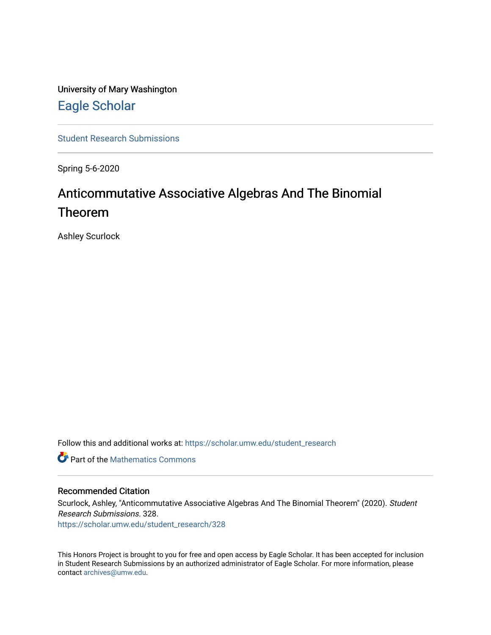University of Mary Washington [Eagle Scholar](https://scholar.umw.edu/) 

[Student Research Submissions](https://scholar.umw.edu/student_research) 

Spring 5-6-2020

## Anticommutative Associative Algebras And The Binomial Theorem

Ashley Scurlock

Follow this and additional works at: [https://scholar.umw.edu/student\\_research](https://scholar.umw.edu/student_research?utm_source=scholar.umw.edu%2Fstudent_research%2F328&utm_medium=PDF&utm_campaign=PDFCoverPages)

**C** Part of the [Mathematics Commons](http://network.bepress.com/hgg/discipline/174?utm_source=scholar.umw.edu%2Fstudent_research%2F328&utm_medium=PDF&utm_campaign=PDFCoverPages)

#### Recommended Citation

Scurlock, Ashley, "Anticommutative Associative Algebras And The Binomial Theorem" (2020). Student Research Submissions. 328.

[https://scholar.umw.edu/student\\_research/328](https://scholar.umw.edu/student_research/328?utm_source=scholar.umw.edu%2Fstudent_research%2F328&utm_medium=PDF&utm_campaign=PDFCoverPages)

This Honors Project is brought to you for free and open access by Eagle Scholar. It has been accepted for inclusion in Student Research Submissions by an authorized administrator of Eagle Scholar. For more information, please contact [archives@umw.edu](mailto:archives@umw.edu).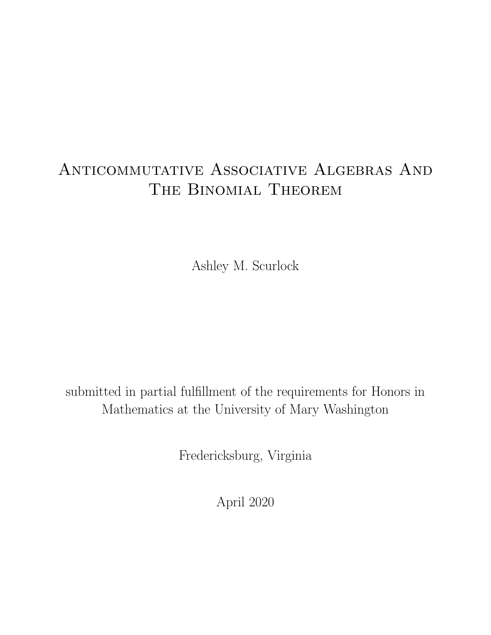# Anticommutative Associative Algebras And The Binomial Theorem

Ashley M. Scurlock

submitted in partial fulfillment of the requirements for Honors in Mathematics at the University of Mary Washington

Fredericksburg, Virginia

April 2020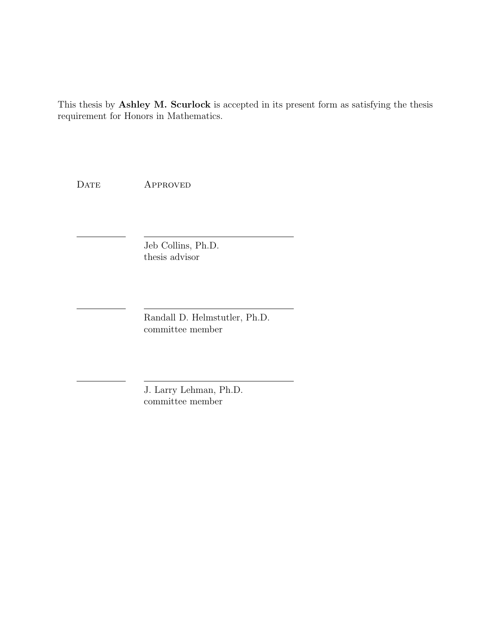This thesis by Ashley M. Scurlock is accepted in its present form as satisfying the thesis requirement for Honors in Mathematics.

DATE APPROVED

Jeb Collins, Ph.D. thesis advisor

Randall D. Helmstutler, Ph.D. committee member

J. Larry Lehman, Ph.D. committee member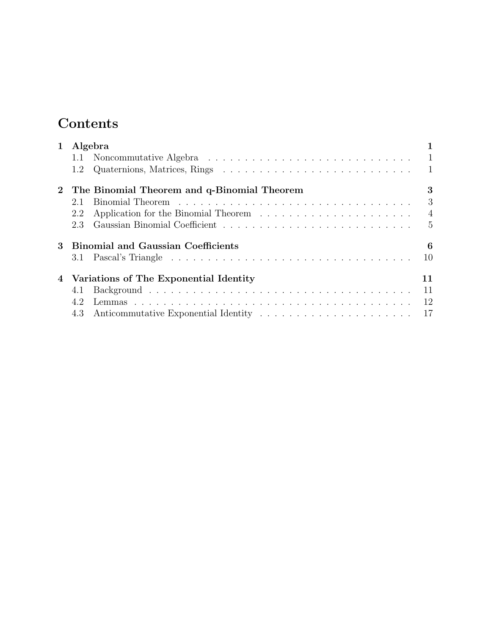## Contents

| $\mathbf{1}$ | Algebra                                        |                |  |  |  |  |  |  |  |  |  |  |  |  |
|--------------|------------------------------------------------|----------------|--|--|--|--|--|--|--|--|--|--|--|--|
|              |                                                | $\overline{1}$ |  |  |  |  |  |  |  |  |  |  |  |  |
|              | 1.2                                            |                |  |  |  |  |  |  |  |  |  |  |  |  |
|              | 2 The Binomial Theorem and q-Binomial Theorem  |                |  |  |  |  |  |  |  |  |  |  |  |  |
|              | 2.1                                            | 3              |  |  |  |  |  |  |  |  |  |  |  |  |
|              | 2.2                                            | $\overline{4}$ |  |  |  |  |  |  |  |  |  |  |  |  |
|              | 2.3                                            | 5              |  |  |  |  |  |  |  |  |  |  |  |  |
| 3            | <b>Binomial and Gaussian Coefficients</b><br>6 |                |  |  |  |  |  |  |  |  |  |  |  |  |
|              | 3.1                                            | 10             |  |  |  |  |  |  |  |  |  |  |  |  |
|              | 4 Variations of The Exponential Identity<br>11 |                |  |  |  |  |  |  |  |  |  |  |  |  |
|              | 4.1                                            | 11             |  |  |  |  |  |  |  |  |  |  |  |  |
|              | 4.2                                            | 12             |  |  |  |  |  |  |  |  |  |  |  |  |
|              |                                                |                |  |  |  |  |  |  |  |  |  |  |  |  |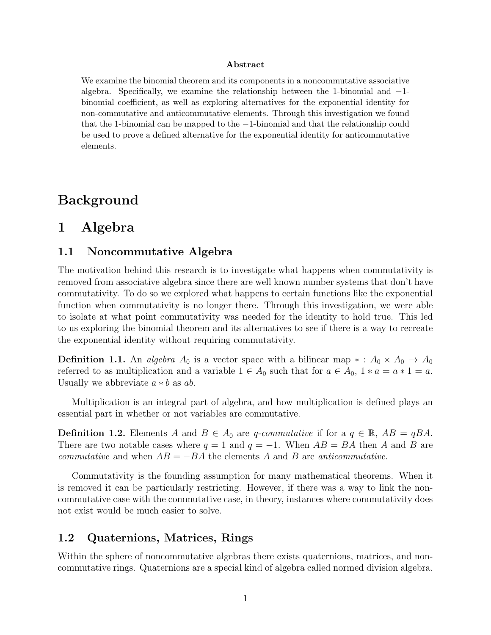#### Abstract

We examine the binomial theorem and its components in a noncommutative associative algebra. Specifically, we examine the relationship between the 1-binomial and −1 binomial coefficient, as well as exploring alternatives for the exponential identity for non-commutative and anticommutative elements. Through this investigation we found that the 1-binomial can be mapped to the −1-binomial and that the relationship could be used to prove a defined alternative for the exponential identity for anticommutative elements.

## Background

## 1 Algebra

#### 1.1 Noncommutative Algebra

The motivation behind this research is to investigate what happens when commutativity is removed from associative algebra since there are well known number systems that don't have commutativity. To do so we explored what happens to certain functions like the exponential function when commutativity is no longer there. Through this investigation, we were able to isolate at what point commutativity was needed for the identity to hold true. This led to us exploring the binomial theorem and its alternatives to see if there is a way to recreate the exponential identity without requiring commutativity.

**Definition 1.1.** An *algebra*  $A_0$  is a vector space with a bilinear map  $* : A_0 \times A_0 \to A_0$ referred to as multiplication and a variable  $1 \in A_0$  such that for  $a \in A_0$ ,  $1 * a = a * 1 = a$ . Usually we abbreviate  $a * b$  as  $ab$ .

Multiplication is an integral part of algebra, and how multiplication is defined plays an essential part in whether or not variables are commutative.

**Definition 1.2.** Elements A and  $B \in A_0$  are q-commutative if for a  $q \in \mathbb{R}$ ,  $AB = qBA$ . There are two notable cases where  $q = 1$  and  $q = -1$ . When  $AB = BA$  then A and B are commutative and when  $AB = -BA$  the elements A and B are anticommutative.

Commutativity is the founding assumption for many mathematical theorems. When it is removed it can be particularly restricting. However, if there was a way to link the noncommutative case with the commutative case, in theory, instances where commutativity does not exist would be much easier to solve.

#### 1.2 Quaternions, Matrices, Rings

Within the sphere of noncommutative algebras there exists quaternions, matrices, and noncommutative rings. Quaternions are a special kind of algebra called normed division algebra.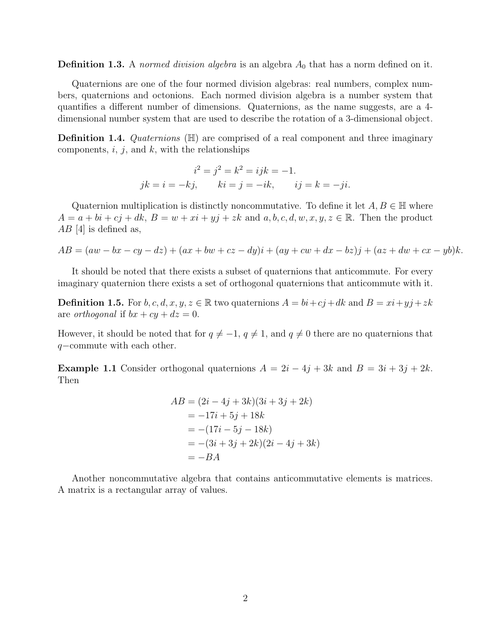**Definition 1.3.** A normed division algebra is an algebra  $A_0$  that has a norm defined on it.

Quaternions are one of the four normed division algebras: real numbers, complex numbers, quaternions and octonions. Each normed division algebra is a number system that quantifies a different number of dimensions. Quaternions, as the name suggests, are a 4 dimensional number system that are used to describe the rotation of a 3-dimensional object.

**Definition 1.4.** Quaternions  $(\mathbb{H})$  are comprised of a real component and three imaginary components,  $i, j$ , and  $k$ , with the relationships

$$
i2 = j2 = k2 = ijk = -1.
$$
  

$$
jk = i = -kj, \qquad ki = j = -ik, \qquad ij = k = -ji.
$$

Quaternion multiplication is distinctly noncommutative. To define it let  $A, B \in \mathbb{H}$  where  $A = a + bi + cj + dk$ ,  $B = w + xi + yj + zk$  and  $a, b, c, d, w, x, y, z \in \mathbb{R}$ . Then the product  $AB$  [4] is defined as,

$$
AB = (aw - bx - cy - dz) + (ax + bw + cz - dy)i + (ay + cw + dx - bz)j + (az + dw + cx - yb)k.
$$

It should be noted that there exists a subset of quaternions that anticommute. For every imaginary quaternion there exists a set of orthogonal quaternions that anticommute with it.

**Definition 1.5.** For  $b, c, d, x, y, z \in \mathbb{R}$  two quaternions  $A = bi + cj + dk$  and  $B = xi + yj + zk$ are *orthogonal* if  $bx + cy + dz = 0$ .

However, it should be noted that for  $q \neq -1$ ,  $q \neq 1$ , and  $q \neq 0$  there are no quaternions that q−commute with each other.

**Example 1.1** Consider orthogonal quaternions  $A = 2i - 4j + 3k$  and  $B = 3i + 3j + 2k$ . Then

$$
AB = (2i - 4j + 3k)(3i + 3j + 2k)
$$
  
= -17i + 5j + 18k  
= -(17i - 5j - 18k)  
= -(3i + 3j + 2k)(2i - 4j + 3k)  
= -BA

Another noncommutative algebra that contains anticommutative elements is matrices. A matrix is a rectangular array of values.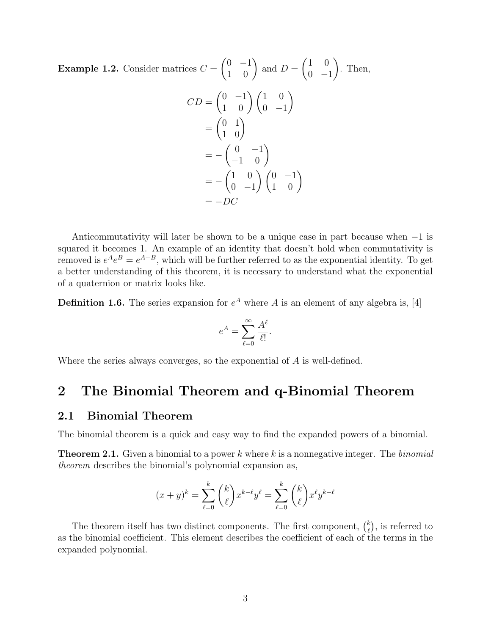**Example 1.2.** Consider matrices  $C =$  $\begin{pmatrix} 0 & -1 \\ 1 & 0 \end{pmatrix}$  and  $D =$  $(1 \ 0)$  $0 -1$  $\setminus$ . Then,

$$
CD = \begin{pmatrix} 0 & -1 \\ 1 & 0 \end{pmatrix} \begin{pmatrix} 1 & 0 \\ 0 & -1 \end{pmatrix}
$$
  
= 
$$
\begin{pmatrix} 0 & 1 \\ 1 & 0 \end{pmatrix}
$$
  
= 
$$
-\begin{pmatrix} 0 & -1 \\ -1 & 0 \end{pmatrix}
$$
  
= 
$$
-\begin{pmatrix} 1 & 0 \\ 0 & -1 \end{pmatrix} \begin{pmatrix} 0 & -1 \\ 1 & 0 \end{pmatrix}
$$
  
= 
$$
-DC
$$

Anticommutativity will later be shown to be a unique case in part because when −1 is squared it becomes 1. An example of an identity that doesn't hold when commutativity is removed is  $e^{A}e^{B} = e^{A+B}$ , which will be further referred to as the exponential identity. To get a better understanding of this theorem, it is necessary to understand what the exponential of a quaternion or matrix looks like.

**Definition 1.6.** The series expansion for  $e^A$  where A is an element of any algebra is, [4]

$$
e^A = \sum_{\ell=0}^{\infty} \frac{A^{\ell}}{\ell!}.
$$

Where the series always converges, so the exponential of A is well-defined.

### 2 The Binomial Theorem and q-Binomial Theorem

### 2.1 Binomial Theorem

The binomial theorem is a quick and easy way to find the expanded powers of a binomial.

**Theorem 2.1.** Given a binomial to a power k where k is a nonnegative integer. The binomial theorem describes the binomial's polynomial expansion as,

$$
(x+y)^k = \sum_{\ell=0}^k \binom{k}{\ell} x^{k-\ell} y^\ell = \sum_{\ell=0}^k \binom{k}{\ell} x^\ell y^{k-\ell}
$$

The theorem itself has two distinct components. The first component,  $\binom{k}{k}$  $\binom{k}{\ell}$ , is referred to as the binomial coefficient. This element describes the coefficient of each of the terms in the expanded polynomial.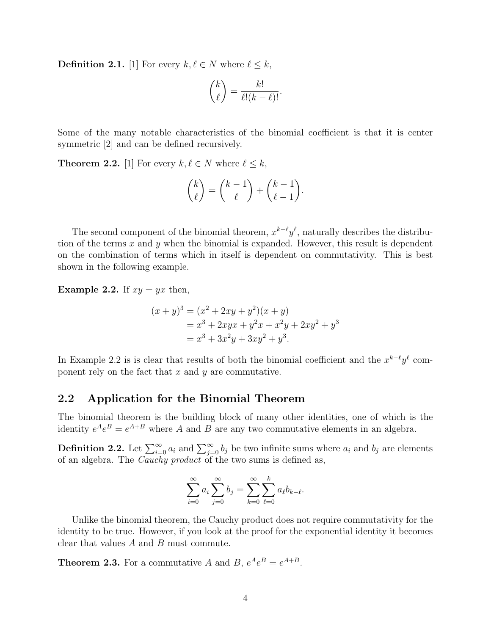**Definition 2.1.** [1] For every  $k, \ell \in N$  where  $\ell \leq k$ ,

$$
\binom{k}{\ell} = \frac{k!}{\ell!(k-\ell)!}.
$$

Some of the many notable characteristics of the binomial coefficient is that it is center symmetric [2] and can be defined recursively.

**Theorem 2.2.** [1] For every  $k, \ell \in N$  where  $\ell \leq k$ ,

$$
\binom{k}{\ell} = \binom{k-1}{\ell} + \binom{k-1}{\ell-1}.
$$

The second component of the binomial theorem,  $x^{k-\ell}y^{\ell}$ , naturally describes the distribution of the terms  $x$  and  $y$  when the binomial is expanded. However, this result is dependent on the combination of terms which in itself is dependent on commutativity. This is best shown in the following example.

**Example 2.2.** If  $xy = yx$  then,

$$
(x + y)3 = (x2 + 2xy + y2)(x + y)
$$
  
= x<sup>3</sup> + 2xyx + y<sup>2</sup>x + x<sup>2</sup>y + 2xy<sup>2</sup> + y<sup>3</sup>  
= x<sup>3</sup> + 3x<sup>2</sup>y + 3xy<sup>2</sup> + y<sup>3</sup>.

In Example 2.2 is is clear that results of both the binomial coefficient and the  $x^{k-\ell}y^{\ell}$  component rely on the fact that  $x$  and  $y$  are commutative.

#### 2.2 Application for the Binomial Theorem

The binomial theorem is the building block of many other identities, one of which is the identity  $e^{A}e^{B} = e^{A+B}$  where A and B are any two commutative elements in an algebra.

**Definition 2.2.** Let  $\sum_{i=0}^{\infty} a_i$  and  $\sum_{j=0}^{\infty} b_j$  be two infinite sums where  $a_i$  and  $b_j$  are elements of an algebra. The Cauchy product of the two sums is defined as,

$$
\sum_{i=0}^{\infty} a_i \sum_{j=0}^{\infty} b_j = \sum_{k=0}^{\infty} \sum_{\ell=0}^{k} a_{\ell} b_{k-\ell}.
$$

Unlike the binomial theorem, the Cauchy product does not require commutativity for the identity to be true. However, if you look at the proof for the exponential identity it becomes clear that values A and B must commute.

**Theorem 2.3.** For a commutative A and B,  $e^{A}e^{B} = e^{A+B}$ .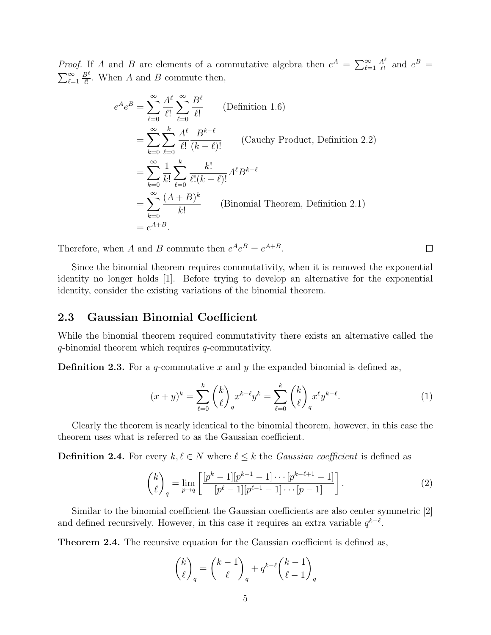*Proof.* If A and B are elements of a commutative algebra then  $e^A = \sum_{\ell=1}^{\infty}$  $A^{\ell}$  $\frac{4^{\ell}}{\ell!}$  and  $e^{B} =$  $\sum_{\ell=1}^{\infty}$  $B^\ell$  $\frac{B^i}{\ell!}$ . When A and B commute then,

$$
e^{A}e^{B} = \sum_{\ell=0}^{\infty} \frac{A^{\ell}}{\ell!} \sum_{\ell=0}^{\infty} \frac{B^{\ell}}{\ell!}
$$
 (Definition 1.6)  
\n
$$
= \sum_{k=0}^{\infty} \sum_{\ell=0}^{k} \frac{A^{\ell}}{\ell!} \frac{B^{k-\ell}}{(k-\ell)!}
$$
 (Cauchy Product, Definition 2.2)  
\n
$$
= \sum_{k=0}^{\infty} \frac{1}{k!} \sum_{\ell=0}^{k} \frac{k!}{\ell!(k-\ell)!} A^{\ell}B^{k-\ell}
$$
  
\n
$$
= \sum_{k=0}^{\infty} \frac{(A+B)^{k}}{k!}
$$
 (Binomial Theorem, Definition 2.1)  
\n
$$
= e^{A+B}.
$$

Therefore, when A and B commute then  $e^{A}e^{B} = e^{A+B}$ .

Since the binomial theorem requires commutativity, when it is removed the exponential identity no longer holds [1]. Before trying to develop an alternative for the exponential identity, consider the existing variations of the binomial theorem.

#### 2.3 Gaussian Binomial Coefficient

While the binomial theorem required commutativity there exists an alternative called the q-binomial theorem which requires q-commutativity.

**Definition 2.3.** For a q-commutative x and y the expanded binomial is defined as,

$$
(x+y)^k = \sum_{\ell=0}^k \binom{k}{\ell}_q x^{k-\ell} y^k = \sum_{\ell=0}^k \binom{k}{\ell}_q x^{\ell} y^{k-\ell}.
$$
 (1)

Clearly the theorem is nearly identical to the binomial theorem, however, in this case the theorem uses what is referred to as the Gaussian coefficient.

**Definition 2.4.** For every  $k, \ell \in N$  where  $\ell \leq k$  the *Gaussian coefficient* is defined as

$$
\binom{k}{\ell}_q = \lim_{p \to q} \left[ \frac{[p^k - 1][p^{k-1} - 1] \cdots [p^{k-\ell+1} - 1]}{[p^\ell - 1][p^{\ell-1} - 1] \cdots [p-1]} \right].
$$
\n(2)

Similar to the binomial coefficient the Gaussian coefficients are also center symmetric [2] and defined recursively. However, in this case it requires an extra variable  $q^{k-\ell}$ .

Theorem 2.4. The recursive equation for the Gaussian coefficient is defined as,

$$
\binom{k}{\ell}_q = \binom{k-1}{\ell}_q + q^{k-\ell} \binom{k-1}{\ell-1}_q
$$

 $\Box$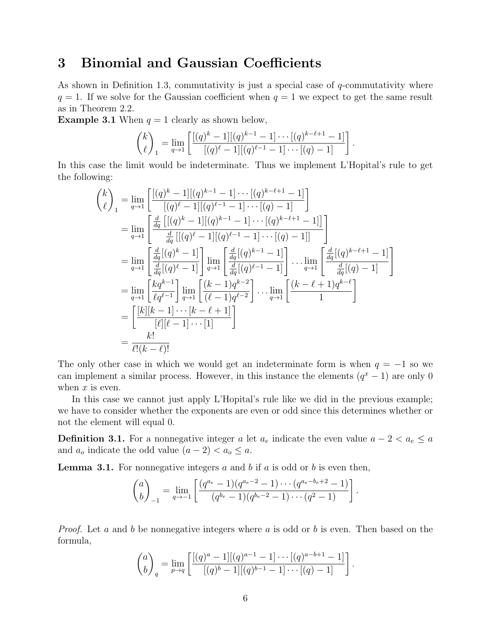## 3 Binomial and Gaussian Coefficients

As shown in Definition 1.3, commutativity is just a special case of  $q$ -commutativity where  $q = 1$ . If we solve for the Gaussian coefficient when  $q = 1$  we expect to get the same result as in Theorem 2.2.

**Example 3.1** When  $q = 1$  clearly as shown below,

$$
\binom{k}{\ell}_1 = \lim_{q \to 1} \left[ \frac{[(q)^k - 1][(q)^{k-1} - 1] \cdots [(q)^{k-\ell+1} - 1]}{[(q)^{\ell} - 1][(q)^{\ell-1} - 1] \cdots [(q) - 1]} \right].
$$

In this case the limit would be indeterminate. Thus we implement L'Hopital's rule to get the following:

$$
\begin{aligned}\n\binom{k}{\ell}_1 &= \lim_{q \to 1} \left[ \frac{[(q)^k - 1][(q)^{k-1} - 1] \cdots [(q)^{k-\ell+1} - 1]}{[(q)^{\ell} - 1][(q)^{\ell-1} - 1] \cdots [(q) - 1]} \right] \\
&= \lim_{q \to 1} \left[ \frac{\frac{d}{dq} \left[ [(q)^k - 1][(q)^{k-1} - 1] \cdots [(q)^{k-\ell+1} - 1] \right]}{\frac{d}{dq} \left[ [(q)^{\ell} - 1][(q)^{\ell-1} - 1] \cdots [(q) - 1] \right]} \right] \\
&= \lim_{q \to 1} \left[ \frac{\frac{d}{dq} [(q)^k - 1]}{\frac{d}{dq} [(q)^{\ell} - 1]} \right] \lim_{q \to 1} \left[ \frac{\frac{d}{dq} [(q)^{k-1} - 1]}{\frac{d}{dq} [(q)^{\ell-1} - 1]} \right] \cdots \lim_{q \to 1} \left[ \frac{\frac{d}{dq} [(q)^{k-\ell+1} - 1]}{\frac{d}{dq} [(q) - 1]} \right] \\
&= \lim_{q \to 1} \left[ \frac{kq^{k-1}}{\ell q^{\ell-1}} \right] \lim_{q \to 1} \left[ \frac{(k-1)q^{k-2}}{(\ell-1)q^{\ell-2}} \right] \cdots \lim_{q \to 1} \left[ \frac{(k-\ell+1)q^{k-\ell}}{1} \right] \\
&= \left[ \frac{[k][k-1] \cdots [k-\ell+1]}{[\ell][\ell-1] \cdots [1]} \right] \\
&= \frac{k!}{\ell!(k-\ell)!}\n\end{aligned}
$$

The only other case in which we would get an indeterminate form is when  $q = -1$  so we can implement a similar process. However, in this instance the elements  $(q^x - 1)$  are only 0 when  $x$  is even.

In this case we cannot just apply L'Hopital's rule like we did in the previous example; we have to consider whether the exponents are even or odd since this determines whether or not the element will equal 0.

**Definition 3.1.** For a nonnegative integer a let  $a_e$  indicate the even value  $a - 2 < a_e \le a$ and  $a_o$  indicate the odd value  $(a-2) < a_o \leq a$ .

**Lemma 3.1.** For nonnegative integers a and b if a is odd or b is even then,

$$
\binom{a}{b}_{-1} = \lim_{q \to -1} \left[ \frac{(q^{a_e} - 1)(q^{a_e - 2} - 1) \cdots (q^{a_e - b_e + 2} - 1)}{(q^{b_e} - 1)(q^{b_e - 2} - 1) \cdots (q^2 - 1)} \right].
$$

*Proof.* Let a and b be nonnegative integers where a is odd or b is even. Then based on the formula,

$$
\binom{a}{b}_q = \lim_{p \to q} \left[ \frac{[(q)^a - 1][(q)^{a-1} - 1] \cdots [(q)^{a-b+1} - 1]}{[(q)^b - 1][(q)^{b-1} - 1] \cdots [(q) - 1]} \right].
$$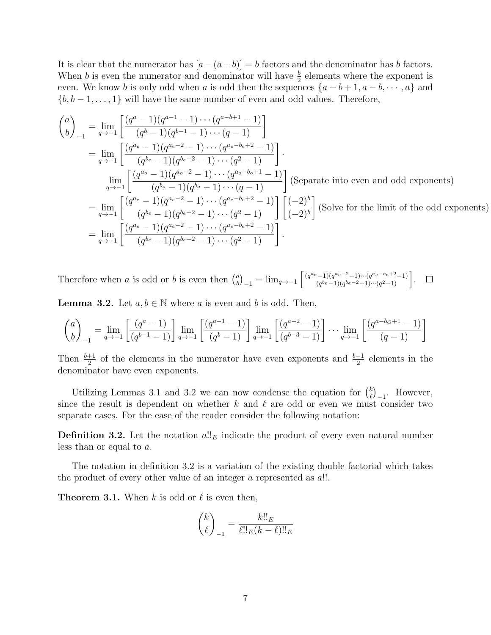It is clear that the numerator has  $[a-(a-b)] = b$  factors and the denominator has b factors. When b is even the numerator and denominator will have  $\frac{b}{2}$  elements where the exponent is even. We know b is only odd when a is odd then the sequences  $\{a-b+1, a-b, \dots, a\}$  and  ${b, b-1, \ldots, 1}$  will have the same number of even and odd values. Therefore,

$$
\begin{aligned}\n\binom{a}{b}_{-1} &= \lim_{q \to -1} \left[ \frac{(q^a - 1)(q^{a-1} - 1) \cdots (q^{a-b+1} - 1)}{(q^b - 1)(q^{b-1} - 1) \cdots (q - 1)} \right] \\
&= \lim_{q \to -1} \left[ \frac{(q^{a_e} - 1)(q^{a_e - 2} - 1) \cdots (q^{a_e - b_e + 2} - 1)}{(q^{b_e} - 1)(q^{b_e - 2} - 1) \cdots (q^2 - 1)} \right]. \\
&\lim_{q \to -1} \left[ \frac{(q^{a_o} - 1)(q^{a_o - 2} - 1) \cdots (q^{a_o - b_o + 1} - 1)}{(q^{b_o} - 1)(q^{b_o} - 1) \cdots (q - 1)} \right] \text{ (Separate into even and odd exponents)} \\
&= \lim_{q \to -1} \left[ \frac{(q^{a_e} - 1)(q^{a_e - 2} - 1) \cdots (q^{a_e - b_e + 2} - 1)}{(q^{b_e} - 1)(q^{b_e - 2} - 1) \cdots (q^2 - 1)} \right] \left[ \frac{(-2)^b}{(-2)^b} \right] \text{ (Solve for the limit of the odd exponents)} \\
&= \lim_{q \to -1} \left[ \frac{(q^{a_e} - 1)(q^{a_e - 2} - 1) \cdots (q^{a_e - b_e + 2} - 1)}{(q^{b_e} - 1)(q^{b_e - 2} - 1) \cdots (q^{2} - 1)} \right].\n\end{aligned}
$$

Therefore when a is odd or b is even then  $\binom{a}{b}$ a)<sub>-1</sub> = lim<sub>q→−1</sub>  $\left[ \frac{(q^{a_e}-1)(q^{a_e}-2-1)\cdots(q^{a_e}-b_e+2-1)}{(q^{b_e}-1)(q^{b_e}-2-1)\cdots(q^2-1)} \right]$  $\frac{(q^{-(l)}-1)(q^{a_e-2}-1)\cdots(q^{a_e-b_e+2}-1)}{(q^{b_e}-1)(q^{b_e-2}-1)\cdots(q^2-1)}$ .

**Lemma 3.2.** Let  $a, b \in \mathbb{N}$  where a is even and b is odd. Then,

$$
\binom{a}{b}_{-1} = \lim_{q \to -1} \left[ \frac{(q^a - 1)}{(q^{b-1} - 1)} \right] \lim_{q \to -1} \left[ \frac{(q^{a-1} - 1)}{(q^b - 1)} \right] \lim_{q \to -1} \left[ \frac{(q^{a-2} - 1)}{(q^{b-3} - 1)} \right] \cdots \lim_{q \to -1} \left[ \frac{(q^{a-b_0+1} - 1)}{(q-1)} \right]
$$

Then  $\frac{b+1}{2}$  of the elements in the numerator have even exponents and  $\frac{b-1}{2}$  elements in the denominator have even exponents.

Utilizing Lemmas 3.1 and 3.2 we can now condense the equation for  $\binom{k}{k}$  $\binom{k}{\ell}_{-1}$ . However, since the result is dependent on whether k and  $\ell$  are odd or even we must consider two separate cases. For the ease of the reader consider the following notation:

**Definition 3.2.** Let the notation  $a!!_E$  indicate the product of every even natural number less than or equal to a.

The notation in definition 3.2 is a variation of the existing double factorial which takes the product of every other value of an integer  $\alpha$  represented as  $\alpha$ !!.

**Theorem 3.1.** When k is odd or  $\ell$  is even then,

$$
\binom{k}{\ell}_{-1} = \frac{k!!_E}{\ell!!_E(k-\ell)!!_E}
$$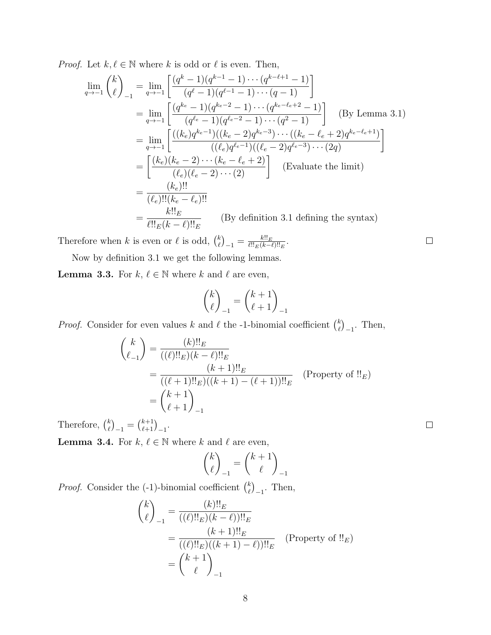*Proof.* Let  $k, \ell \in \mathbb{N}$  where k is odd or  $\ell$  is even. Then,

$$
\lim_{q \to -1} {k \choose \ell}_{-1} = \lim_{q \to -1} \left[ \frac{(q^k - 1)(q^{k-1} - 1) \cdots (q^{k-\ell+1} - 1)}{(q^\ell - 1)(q^{\ell-1} - 1) \cdots (q - 1)} \right]
$$
\n
$$
= \lim_{q \to -1} \left[ \frac{(q^{k_e} - 1)(q^{k_e - 2} - 1) \cdots (q^{k_e - \ell_e + 2} - 1)}{(q^{\ell_e} - 1)(q^{\ell_e - 2} - 1) \cdots (q^2 - 1)} \right] \quad \text{(By Lemma 3.1)}
$$
\n
$$
= \lim_{q \to -1} \left[ \frac{((k_e)q^{k_e - 1})((k_e - 2)q^{k_e - 3}) \cdots ((k_e - \ell_e + 2)q^{k_e - \ell_e + 1})}{((\ell_e)q^{\ell_e - 1})((\ell_e - 2)q^{\ell_e - 3}) \cdots (2q)} \right]
$$
\n
$$
= \left[ \frac{(k_e)(k_e - 2) \cdots (k_e - \ell_e + 2)}{(\ell_e)(\ell_e - 2) \cdots (2)} \right] \quad \text{(Evaluate the limit)}
$$
\n
$$
= \frac{(k_e)!!}{(\ell_e)!!(k_e - \ell_e)!!}
$$
\n
$$
= \frac{k!!_E}{(\ell \cdot k - \ell)!_E} \quad \text{(By definition 3.1 defining the syntax)}
$$

Therefore when k is even or  $\ell$  is odd,  $\binom{k}{\ell}$  $\binom{k}{\ell}_{-1} = \frac{k!!_E}{\ell!!_E(k-1)}$  $\frac{k!!E}{\ell!!_E(k-\ell)!!_E}$ .

Now by definition 3.1 we get the following lemmas.

**Lemma 3.3.** For  $k, \ell \in \mathbb{N}$  where k and  $\ell$  are even,

$$
\binom{k}{\ell}_{-1} = \binom{k+1}{\ell+1}_{-1}
$$

*Proof.* Consider for even values k and  $\ell$  the -1-binomial coefficient  $\binom{k}{\ell}$  $\binom{k}{\ell}_{-1}$ . Then,

$$
\binom{k}{\ell_{-1}} = \frac{(k)!!_E}{((\ell)!!_E)(k-\ell)!!_E}
$$
\n
$$
= \frac{(k+1)!!_E}{((\ell+1)!!_E)((k+1)-(\ell+1))!!_E} \quad \text{(Property of } \mathcal{L}_E
$$
\n
$$
= \binom{k+1}{\ell+1}_{-1}
$$

Therefore,  $\binom{k}{\ell}$  $\binom{k}{\ell}_{-1} = \binom{k+1}{\ell+1}_{-1}.$ 

**Lemma 3.4.** For  $k, \ell \in \mathbb{N}$  where k and  $\ell$  are even,

$$
\binom{k}{\ell}_{-1} = \binom{k+1}{\ell}_{-1}
$$

*Proof.* Consider the  $(-1)$ -binomial coefficient  $\binom{k}{k}$  $\binom{k}{\ell}_{-1}$ . Then,

$$
\binom{k}{\ell}_{-1} = \frac{(k)!!_E}{((\ell)!!_E)(k-\ell)!!_E}
$$
\n
$$
= \frac{(k+1)!!_E}{((\ell)!!_E)((k+1)-\ell)!!_E} \quad \text{(Property of }!!_E)
$$
\n
$$
= \binom{k+1}{\ell}_{-1}
$$

 $\Box$ 

 $\Box$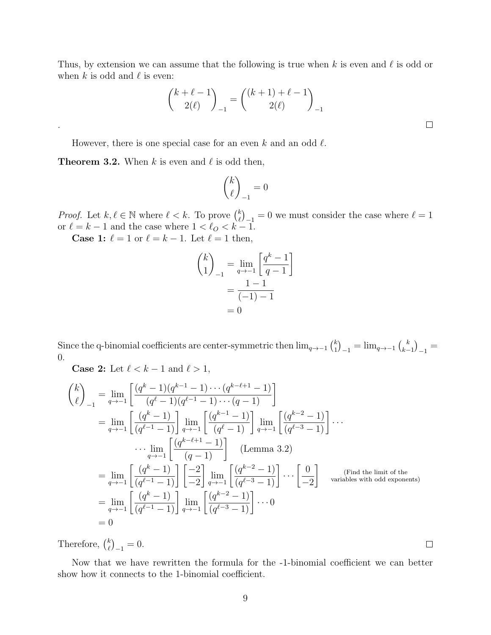Thus, by extension we can assume that the following is true when k is even and  $\ell$  is odd or when k is odd and  $\ell$  is even:

$$
\binom{k+\ell-1}{2(\ell)}_{-1} = \binom{(k+1)+\ell-1}{2(\ell)}_{-1}
$$

 $\Box$ 

 $\Box$ 

However, there is one special case for an even k and an odd  $\ell$ .

**Theorem 3.2.** When k is even and  $\ell$  is odd then,

.

$$
\binom{k}{\ell}_{-1} = 0
$$

*Proof.* Let  $k, \ell \in \mathbb{N}$  where  $\ell < k$ . To prove  $\binom{k}{\ell}$  $\binom{k}{\ell-1} = 0$  we must consider the case where  $\ell = 1$ or  $\ell = k - 1$  and the case where  $1 < \ell_O < k - 1$ .

**Case 1:**  $\ell = 1$  or  $\ell = k - 1$ . Let  $\ell = 1$  then,

$$
\binom{k}{1}_{-1} = \lim_{q \to -1} \left[ \frac{q^k - 1}{q - 1} \right] \\
= \frac{1 - 1}{(-1) - 1} \\
= 0
$$

Since the q-binomial coefficients are center-symmetric then  $\lim_{q\to -1}$   $\binom{k}{1}$  $\binom{k}{1}_{-1} = \lim_{q \to -1} \binom{k}{k}_{-1}$  $\binom{k}{k-1}_{-1} =$ 0.

Case 2: Let  $\ell < k - 1$  and  $\ell > 1$ ,

$$
\binom{k}{\ell}_{-1} = \lim_{q \to -1} \left[ \frac{(q^k - 1)(q^{k-1} - 1) \cdots (q^{k-\ell+1} - 1)}{(q^{\ell} - 1)(q^{\ell-1} - 1) \cdots (q - 1)} \right]
$$
\n
$$
= \lim_{q \to -1} \left[ \frac{(q^k - 1)}{(q^{\ell-1} - 1)} \right] \lim_{q \to -1} \left[ \frac{(q^{k-1} - 1)}{(q^{\ell} - 1)} \right] \lim_{q \to -1} \left[ \frac{(q^{k-2} - 1)}{(q^{\ell-3} - 1)} \right] \cdots
$$
\n
$$
\cdots \lim_{q \to -1} \left[ \frac{(q^{k-\ell+1} - 1)}{(q - 1)} \right] \quad \text{(Lemma 3.2)}
$$
\n
$$
= \lim_{q \to -1} \left[ \frac{(q^k - 1)}{(q^{\ell-1} - 1)} \right] \left[ \frac{-2}{-2} \right] \lim_{q \to -1} \left[ \frac{(q^{k-2} - 1)}{(q^{\ell-3} - 1)} \right] \cdots \left[ \frac{0}{-2} \right] \quad \text{(Find the limit of the variables with odd exponents)}
$$
\n
$$
= \lim_{q \to -1} \left[ \frac{(q^k - 1)}{(q^{\ell-1} - 1)} \right] \lim_{q \to -1} \left[ \frac{(q^{k-2} - 1)}{(q^{\ell-3} - 1)} \right] \cdots 0
$$
\n
$$
= 0
$$

Therefore,  $\binom{k}{\ell}$  $\binom{k}{\ell}_{-1} = 0.$ 

Now that we have rewritten the formula for the -1-binomial coefficient we can better show how it connects to the 1-binomial coefficient.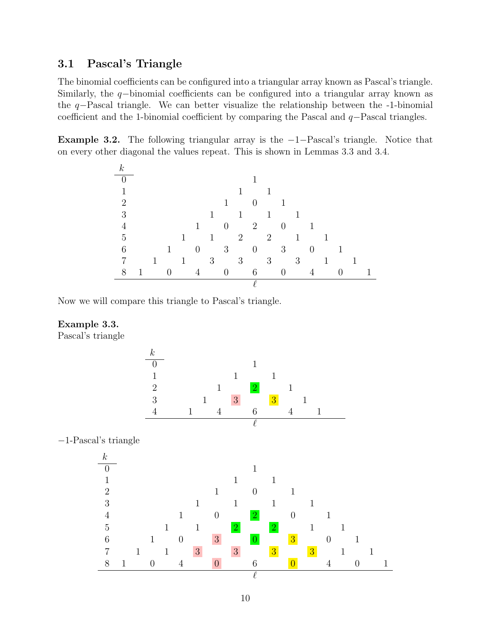### 3.1 Pascal's Triangle

The binomial coefficients can be configured into a triangular array known as Pascal's triangle. Similarly, the q−binomial coefficients can be configured into a triangular array known as the q−Pascal triangle. We can better visualize the relationship between the -1-binomial coefficient and the 1-binomial coefficient by comparing the Pascal and q−Pascal triangles.

**Example 3.2.** The following triangular array is the  $-1$ -Pascal's triangle. Notice that on every other diagonal the values repeat. This is shown in Lemmas 3.3 and 3.4.

| $\boldsymbol{k}$            |   |   |          |   |          |                 |                |                |          |       |                |                |                |              |   |   |  |
|-----------------------------|---|---|----------|---|----------|-----------------|----------------|----------------|----------|-------|----------------|----------------|----------------|--------------|---|---|--|
| $\Omega$                    |   |   |          |   |          |                 |                |                |          |       |                |                |                |              |   |   |  |
| 1                           |   |   |          |   |          |                 |                |                |          |       |                |                |                |              |   |   |  |
| $\mathcal{D}_{\mathcal{A}}$ |   |   |          |   |          |                 |                |                |          |       |                |                |                |              |   |   |  |
| 3                           |   |   |          |   |          | 1               |                | 1              |          |       |                |                |                |              |   |   |  |
| 4                           |   |   |          |   | 1        |                 | $\theta$       |                | 2        |       | $\overline{0}$ |                |                |              |   |   |  |
| 5                           |   |   |          | 1 |          | $\mathbf{1}$    |                | $\overline{2}$ |          | $2\,$ |                | $\mathbf 1$    |                |              |   |   |  |
| 6                           |   |   | 1        |   | $\theta$ |                 | 3 <sup>7</sup> |                | $\theta$ |       | 3 <sup>1</sup> |                | $\overline{0}$ |              |   |   |  |
| 7                           |   | 1 |          | 1 |          | $3\phantom{.0}$ |                | 3 <sup>7</sup> |          | 3     |                | 3 <sup>1</sup> |                | $\mathbf{1}$ |   | 1 |  |
| 8                           | 1 |   | $\Omega$ |   | 4        |                 | $\overline{0}$ |                | 6        |       | $\Omega$       |                | $\overline{4}$ |              | 0 |   |  |
|                             |   |   |          |   |          |                 |                |                |          |       |                |                |                |              |   |   |  |

Now we will compare this triangle to Pascal's triangle.

#### Example 3.3.

Pascal's triangle

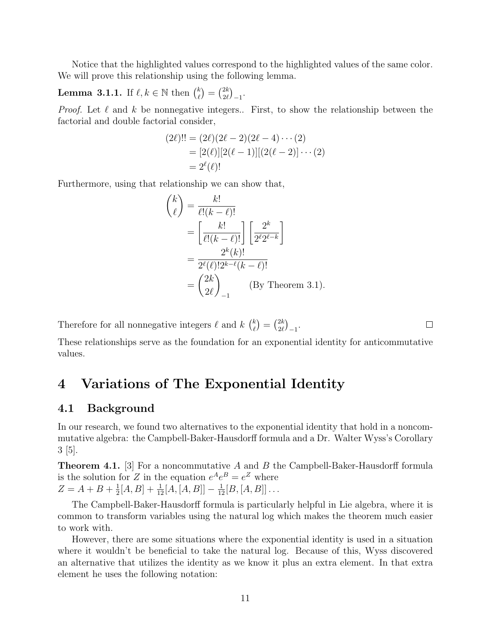Notice that the highlighted values correspond to the highlighted values of the same color. We will prove this relationship using the following lemma.

**Lemma 3.1.1.** If  $\ell, k \in \mathbb{N}$  then  $\binom{k}{\ell}$  $\binom{k}{\ell} = \binom{2k}{2\ell}$  $_{2\ell}^{2k}\big)_{-1}.$ 

*Proof.* Let  $\ell$  and  $k$  be nonnegative integers.. First, to show the relationship between the factorial and double factorial consider,

$$
(2\ell)!! = (2\ell)(2\ell - 2)(2\ell - 4) \cdots (2)
$$
  
= [2(\ell)][2(\ell - 1)][(2(\ell - 2)] \cdots (2)  
= 2<sup>\ell</sup>(\ell)!

Furthermore, using that relationship we can show that,

$$
\binom{k}{\ell} = \frac{k!}{\ell!(k-\ell)!}
$$
\n
$$
= \left[\frac{k!}{\ell!(k-\ell)!}\right] \left[\frac{2^k}{2^{\ell}2^{\ell-k}}\right]
$$
\n
$$
= \frac{2^k(k)!}{2^{\ell}(\ell)!2^{k-\ell}(k-\ell)!}
$$
\n
$$
= \binom{2k}{2\ell}_{-1} \qquad \text{(By Theorem 3.1)}.
$$

Therefore for all nonnegative integers  $\ell$  and  $k \binom{k}{\ell}$  $\binom{k}{\ell} = \binom{2k}{2\ell}$  $\genfrac{(}{)}{0pt}{}{2k}{2\ell}-1$ .

 $\Box$ 

These relationships serve as the foundation for an exponential identity for anticommutative values.

## 4 Variations of The Exponential Identity

#### 4.1 Background

In our research, we found two alternatives to the exponential identity that hold in a noncommutative algebra: the Campbell-Baker-Hausdorff formula and a Dr. Walter Wyss's Corollary 3 [5].

**Theorem 4.1.** [3] For a noncommutative A and B the Campbell-Baker-Hausdorff formula is the solution for Z in the equation  $e^A e^B = e^Z$  where  $Z = A + B + \frac{1}{2}$  $\frac{1}{2}[A, B] + \frac{1}{12}[A, [A, B]] - \frac{1}{12}[B, [A, B]] \ldots$ 

The Campbell-Baker-Hausdorff formula is particularly helpful in Lie algebra, where it is common to transform variables using the natural log which makes the theorem much easier to work with.

However, there are some situations where the exponential identity is used in a situation where it wouldn't be beneficial to take the natural log. Because of this, Wyss discovered an alternative that utilizes the identity as we know it plus an extra element. In that extra element he uses the following notation: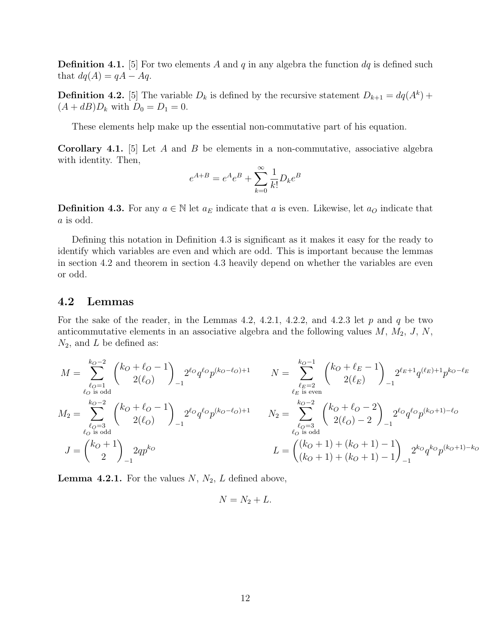**Definition 4.1.** [5] For two elements A and q in any algebra the function  $dq$  is defined such that  $dq(A) = qA - Aq$ .

**Definition 4.2.** [5] The variable  $D_k$  is defined by the recursive statement  $D_{k+1} = dq(A^k) +$  $(A + dB)D_k$  with  $D_0 = D_1 = 0$ .

These elements help make up the essential non-commutative part of his equation.

**Corollary 4.1.** [5] Let  $A$  and  $B$  be elements in a non-commutative, associative algebra with identity. Then,

$$
e^{A+B} = e^{A}e^{B} + \sum_{k=0}^{\infty} \frac{1}{k!} D_{k}e^{B}
$$

**Definition 4.3.** For any  $a \in \mathbb{N}$  let  $a_E$  indicate that a is even. Likewise, let  $a_O$  indicate that a is odd.

Defining this notation in Definition 4.3 is significant as it makes it easy for the ready to identify which variables are even and which are odd. This is important because the lemmas in section 4.2 and theorem in section 4.3 heavily depend on whether the variables are even or odd.

#### 4.2 Lemmas

For the sake of the reader, in the Lemmas 4.2, 4.2.1, 4.2.2, and 4.2.3 let  $p$  and  $q$  be two anticommutative elements in an associative algebra and the following values  $M$ ,  $M_2$ ,  $J$ ,  $N$ ,  $N_2$ , and L be defined as:

$$
M = \sum_{\substack{\ell_0 = 1 \\ \ell_0 \text{ is odd}}}^{k_0 - 2} {k_0 + \ell_0 - 1 \choose 2(\ell_0)}_{-1} 2^{\ell_0} q^{\ell_0} p^{(k_0 - \ell_0) + 1}
$$

$$
N = \sum_{\substack{\ell_E = 2 \\ \ell_E \text{ is even}}}^{k_0 - 1} {k_0 + \ell_E - 1 \choose 2(\ell_E)}_{-1} 2^{\ell_E + 1} q^{(\ell_E) + 1} p^{k_0 - \ell_E}
$$

$$
M_2 = \sum_{\substack{\ell_0 = 3 \\ \ell_0 \text{ is odd}}}^{k_0 - 2} {k_0 + \ell_0 - 1 \choose 2(\ell_0)}_{-1} 2^{\ell_0} q^{\ell_0} p^{(k_0 - \ell_0) + 1}
$$

$$
N_2 = \sum_{\substack{\ell_0 = 3 \\ \ell_0 \text{ is odd}}}^{k_0 - 2} {k_0 + \ell_0 - 2 \choose 2(\ell_0) - 2}_{-1} 2^{\ell_0} q^{\ell_0} p^{(k_0 + 1) - \ell_0}
$$

$$
L = {k_0 + 1 \choose k_0 + 1} + (k_0 + 1) - 1 \choose (k_0 + 1) + (k_0 + 1) - 1} 2^{k_0} q^{k_0} p^{(k_0 + 1) - k_0}
$$

**Lemma 4.2.1.** For the values  $N$ ,  $N_2$ ,  $L$  defined above,

$$
N=N_2+L.
$$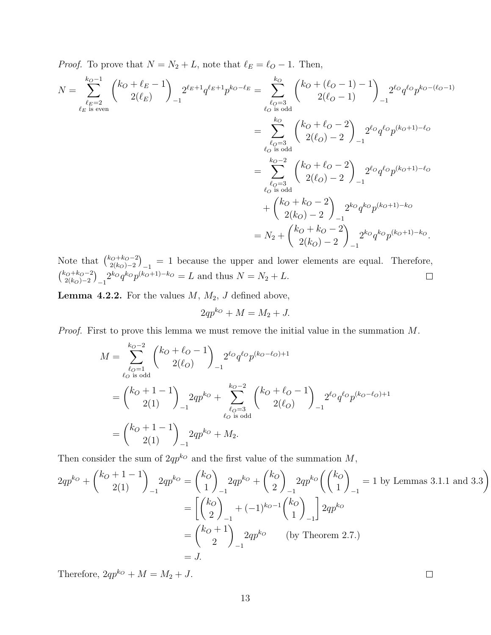*Proof.* To prove that  $N = N_2 + L$ , note that  $\ell_E = \ell_O - 1$ . Then,

$$
N = \sum_{\substack{\ell_E = 2 \\ \ell_E \text{ is even}}}^{k_O - 1} {k_O + \ell_E - 1 \choose 2(\ell_E)}_{-1} 2^{\ell_E + 1} q^{\ell_E + 1} p^{k_O - \ell_E} = \sum_{\substack{\ell_O = 3 \\ \ell_O \text{ is odd}}}^{k_O} {k_O + (\ell_O - 1) - 1 \choose 2(\ell_O - 1)}_{-1} 2^{\ell_O} q^{\ell_O} p^{k_O - (\ell_O - 1)}
$$
  

$$
= \sum_{\substack{\ell_O = 3 \\ \ell_O \text{ is odd}}}^{k_O} {k_O + \ell_O - 2 \choose 2(\ell_O) - 2}_{-1} 2^{\ell_O} q^{\ell_O} p^{(k_O + 1) - \ell_O}
$$
  

$$
= \sum_{\substack{\ell_O = 3 \\ \ell_O \text{ is odd}}}^{k_O - 2} {k_O + \ell_O - 2 \choose 2(\ell_O) - 2}_{-1} 2^{\ell_O} q^{\ell_O} p^{(k_O + 1) - \ell_O}
$$
  

$$
+ {k_O + k_O - 2 \choose 2(k_O) - 2}_{-1} 2^{k_O} q^{k_O} p^{(k_O + 1) - k_O}
$$
  

$$
= N_2 + {k_O + k_O - 2 \choose 2(k_O) - 2}_{-1} 2^{k_O} q^{k_O} p^{(k_O + 1) - k_O}.
$$

Note that  $\binom{k_O+k_O-2}{2(k_O)-2}$  $\binom{2(k_0)-2}{2(k_0)-2}_{-1} = 1$  because the upper and lower elements are equal. Therefore,  $\binom{k_0+k_0-2}{2(k_0)}$  $\int_{2(k_0)-2}^{\infty(k_0+2)} 2^{k_0} q^{k_0} p^{(k_0+1)-k_0} = L$  and thus  $N = N_2 + L$ .

**Lemma 4.2.2.** For the values  $M$ ,  $M_2$ ,  $J$  defined above,

$$
2qp^{k_0} + M = M_2 + J.
$$

Proof. First to prove this lemma we must remove the initial value in the summation M.

$$
M = \sum_{\substack{\ell_O = 1 \\ \ell_O \text{ is odd}}}^{k_O - 2} {k_O + \ell_O - 1 \choose 2(\ell_O)}_2^{2\ell_O} q^{\ell_O} p^{(k_O - \ell_O) + 1}
$$
  
= 
$$
{k_O + 1 - 1 \choose 2(1)}_2^{2qp^{k_O}} + \sum_{\substack{\ell_O = 3 \\ \ell_O \text{ is odd}}}^{k_O - 2} {k_O + \ell_O - 1 \choose 2(\ell_O)}_2^{2\ell_O} q^{\ell_O} p^{(k_O - \ell_O) + 1}
$$
  
= 
$$
{k_O + 1 - 1 \choose 2(1)}_2^{2qp^{k_O}} + M_2.
$$

Then consider the sum of  $2qp^{k\circ}$  and the first value of the summation  $M$ ,

$$
2qp^{k_o} + {k_o + 1 - 1 \choose 2(1)}_{-1} 2qp^{k_o} = {k_o \choose 1}_{-1} 2qp^{k_o} + {k_o \choose 2}_{-1} 2qp^{k_o} \left( {k_o \choose 1}_{-1} = 1 \text{ by Lemmas 3.1.1 and 3.3} \right)
$$
  
= 
$$
\begin{bmatrix} {k_o \choose 2}_{-1} + (-1)^{k_o-1} {k_o \choose 1}_{-1} 2qp^{k_o} \\ 2 & -1 \end{bmatrix} 2qp^{k_o}
$$
  
= 
$$
{k_o + 1 \choose 2}_{-1} 2qp^{k_o} \qquad \text{(by Theorem 2.7.)}
$$
  
= J.

Therefore,  $2qp^{k_0} + M = M_2 + J$ .

 $\Box$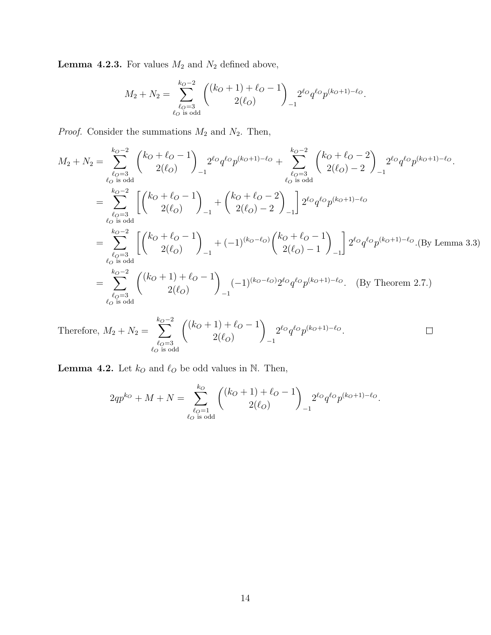**Lemma 4.2.3.** For values  $M_2$  and  $N_2$  defined above,

$$
M_2 + N_2 = \sum_{\substack{\ell_0 = 3 \\ \ell_0 \text{ is odd}}}^{k_0 - 2} { (k_0 + 1) + \ell_0 - 1 \choose 2(\ell_0)}_{-1} 2^{\ell_0} q^{\ell_0} p^{(k_0 + 1) - \ell_0}.
$$

*Proof.* Consider the summations  $M_2$  and  $N_2$ . Then,

$$
M_2 + N_2 = \sum_{\substack{\ell_O=3 \ \ell_O=3}}^{k_O-2} {k_O + \ell_O - 1 \choose 2(\ell_O)} 2^{\ell_O} q^{\ell_O} p^{(k_O+1) - \ell_O} + \sum_{\substack{\ell_O=3 \ \ell_O=3 \\ \ell_O \text{ is odd}}}^{k_O-2} {k_O + \ell_O - 2 \choose 2(\ell_O) - 2} 2^{\ell_O} q^{\ell_O} p^{(k_O+1) - \ell_O}.
$$
  
\n
$$
= \sum_{\substack{\ell_O=3 \ \ell_O=3 \\ \ell_O \text{ is odd}}}^{k_O-2} \left[ {k_O + \ell_O - 1 \choose 2(\ell_O)} \right]_{-1} + {k_O + \ell_O - 2 \choose 2(\ell_O) - 2} -1 \right] 2^{\ell_O} q^{\ell_O} p^{(k_O+1) - \ell_O}
$$
  
\n
$$
= \sum_{\substack{\ell_O=3 \ \ell_O=3 \\ \ell_O \text{ is odd}}}^{k_O-2} \left[ {k_O + \ell_O - 1 \choose 2(\ell_O)} \right]_{-1} + (-1)^{(k_O - \ell_O)} {k_O + \ell_O - 1 \choose 2(\ell_O) - 1} -1 \right] 2^{\ell_O} q^{\ell_O} p^{(k_O+1) - \ell_O}. \text{ (By Lemma 3.3)}
$$
  
\n
$$
= \sum_{\substack{\ell_O=3 \ \ell_O=3 \\ \ell_O \text{ is odd}}}^{k_O-2} {k_O + \ell_O - 1 \choose 2(\ell_O)} -1 \right)_{-1} (-1)^{(k_O - \ell_O)} 2^{\ell_O} q^{\ell_O} p^{(k_O+1) - \ell_O}. \text{ (By Theorem 2.7.)}
$$

Therefore, 
$$
M_2 + N_2 = \sum_{\substack{\ell_0 = 3 \\ \ell_0 \text{ is odd}}}^{k_0 - 2} { (k_0 + 1) + \ell_0 - 1 \choose 2(\ell_0)}_{-1} 2^{\ell_0} q^{\ell_0} p^{(k_0 + 1) - \ell_0}.
$$

**Lemma 4.2.** Let  $k_O$  and  $\ell_O$  be odd values in N. Then,

$$
2qp^{k_O} + M + N = \sum_{\substack{\ell_O = 1 \\ \ell_O \text{ is odd}}}^{k_O} \binom{(k_O + 1) + \ell_O - 1}{2(\ell_O)}_{-1} 2^{\ell_O} q^{\ell_O} p^{(k_O + 1) - \ell_O}.
$$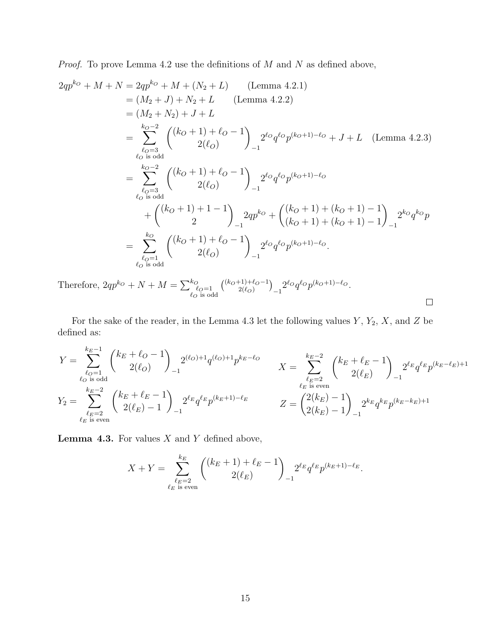*Proof.* To prove Lemma 4.2 use the definitions of  $M$  and  $N$  as defined above,

$$
2qp^{k_0} + M + N = 2qp^{k_0} + M + (N_2 + L)
$$
 (Lemma 4.2.1)  
\n
$$
= (M_2 + J) + N_2 + L
$$
 (Lemma 4.2.2)  
\n
$$
= (M_2 + N_2) + J + L
$$
  
\n
$$
= \sum_{\substack{\ell_0 = 3 \\ \ell_0 \text{ is odd}}}^{k_0 - 2} { (k_0 + 1) + \ell_0 - 1 \choose 2(\ell_0)}_{-1} 2^{\ell_0} q^{\ell_0} p^{(k_0 + 1) - \ell_0} + J + L
$$
 (Lemma 4.2.3)  
\n
$$
= \sum_{\substack{\ell_0 = 3 \\ \ell_0 \text{ is odd}}}^{k_0 - 2} { (k_0 + 1) + \ell_0 - 1 \choose 2(\ell_0)}_{-1} 2^{\ell_0} q^{\ell_0} p^{(k_0 + 1) - \ell_0}
$$
  
\n
$$
+ { (k_0 + 1) + 1 - 1 \choose 2}_{-1} 2qp^{k_0} + { (k_0 + 1) + (k_0 + 1) - 1 \choose (k_0 + 1) + (k_0 + 1) - 1}_{-1} 2^{k_0} q^{k_0} p
$$
  
\n
$$
= \sum_{\substack{\ell_0 = 1 \\ \ell_0 \text{ is odd}}}^{k_0} { (k_0 + 1) + \ell_0 - 1 \choose 2(\ell_0)}_{-1} 2^{\ell_0} q^{\ell_0} p^{(k_0 + 1) - \ell_0}.
$$

Therefore,  $2qp^{k_O} + N + M = \sum_{\substack{\ell_O=1 \ \ell_O \text{ is odd}}}^{k_O}$  $\binom{(k_O+1)+\ell_O-1}{2(\ell_O)}$  $\binom{2(\ell_O)}{2(\ell_O)}_{-1}^2 2^{\ell_O} q^{\ell_O} p^{(k_O+1)-\ell_O}.$  $\hfill \square$ 

For the sake of the reader, in the Lemma 4.3 let the following values  $Y$ ,  $Y_2$ ,  $X$ , and  $Z$  be defined as:

$$
\begin{split} Y &= \sum_{\substack{\ell_O=1\\ \ell_O \text{ is odd}}}^{\textstyle k_E-1} \binom{k_E+\ell_O-1}{2(\ell_O)}_{-1} 2^{(\ell_O)+1} q^{(\ell_O)+1} p^{k_E-\ell_O} \\ Y_2 &= \sum_{\substack{\ell_E=2\\ \ell_E \text{ is even}}}^{\textstyle k_E-2} \binom{k_E+\ell_E-1}{2(\ell_E)-1}_{-1} 2^{\ell_E} q^{\ell_E} p^{(k_E+1)-\ell_E} \\ &\qquad Z = \binom{2(k_E)-1}{2(k_E)-1}_{-1} 2^{k_E} q^{k_E} p^{(k_E-k_E)+1} \\ \end{split}
$$

**Lemma 4.3.** For values  $X$  and  $Y$  defined above,

$$
X + Y = \sum_{\substack{\ell_E = 2 \\ \ell_E \text{ is even}}}^{k_E} \binom{(k_E + 1) + \ell_E - 1}{2(\ell_E)}_{-1} 2^{\ell_E} q^{\ell_E} p^{(k_E + 1) - \ell_E}.
$$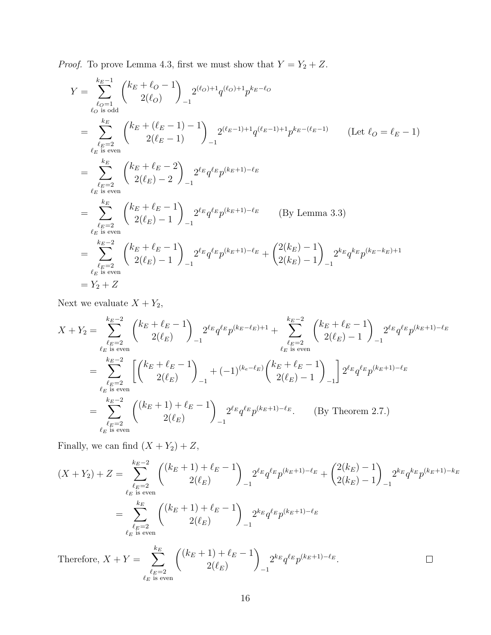*Proof.* To prove Lemma 4.3, first we must show that  $Y = Y_2 + Z$ .

$$
Y = \sum_{\ell_0=1 \atop \ell_0 \text{ is odd}}^{k_E-1} {k_E + \ell_0 - 1 \choose 2(\ell_0)} 2^{(\ell_0)+1} q^{(\ell_0)+1} p^{k_E-\ell_0}
$$
  
\n
$$
= \sum_{\ell_E=2 \atop \ell_E \text{ is even}}^{k_E} {k_E + (\ell_E - 1) - 1 \choose 2(\ell_E - 1)} 2^{(\ell_E - 1)+1} q^{(\ell_E - 1)+1} p^{k_E-(\ell_E - 1)} \qquad \text{(Let } \ell_0 = \ell_E - 1)
$$
  
\n
$$
= \sum_{\ell_E=2 \atop \ell_E \text{ is even}}^{k_E} {k_E + \ell_E - 2 \choose 2(\ell_E) - 2} 2^{\ell_E} q^{\ell_E} p^{(k_E+1)-\ell_E}
$$
  
\n
$$
= \sum_{\ell_E=2 \atop \ell_E \text{ is even}}^{k_E} {k_E + \ell_E - 1 \choose 2(\ell_E) - 1} 2^{\ell_E} q^{\ell_E} p^{(k_E+1)-\ell_E} \qquad \text{(By Lemma 3.3)}
$$
  
\n
$$
= \sum_{\ell_E=2 \atop \ell_E \text{ is even}}^{k_E-2} {k_E + \ell_E - 1 \choose 2(\ell_E) - 1} 2^{\ell_E} q^{\ell_E} p^{(k_E+1)-\ell_E} + {2(k_E) - 1 \choose 2(k_E) - 1} 2^{k_E} q^{k_E} p^{(k_E - k_E) + 1}
$$
  
\n
$$
= Y_2 + Z
$$

Next we evaluate  $X + Y_2$ ,

$$
X + Y_2 = \sum_{\ell_E = 2 \atop \ell_E \text{ is even}}^{\ell_E - 2} \binom{k_E + \ell_E - 1}{2(\ell_E)}_{-1} 2^{\ell_E} q^{\ell_E} p^{(k_E - \ell_E) + 1} + \sum_{\ell_E = 2 \atop \ell_E \text{ is even}}^{\ell_E - 2} \binom{k_E + \ell_E - 1}{2(\ell_E) - 1}_{-1} 2^{\ell_E} q^{\ell_E} p^{(k_E + 1) - \ell_E}
$$
  
\n
$$
= \sum_{\ell_E = 2 \atop \ell_E \text{ is even}}^{\ell_E - 2} \left[ \binom{k_E + \ell_E - 1}{2(\ell_E)}_{-1} + (-1)^{(k_e - \ell_E)} \binom{k_E + \ell_E - 1}{2(\ell_E) - 1}_{-1} \right] 2^{\ell_E} q^{\ell_E} p^{(k_E + 1) - \ell_E}
$$
  
\n
$$
= \sum_{\ell_E = 2 \atop \ell_E \text{ is even}}^{\ell_E - 2} \binom{(k_E + 1) + \ell_E - 1}{2(\ell_E)}_{-1} 2^{\ell_E} q^{\ell_E} p^{(k_E + 1) - \ell_E}.
$$
 (By Theorem 2.7.)

Finally, we can find  $(X + Y_2) + Z$ ,

$$
(X + Y_2) + Z = \sum_{\ell_E = 2 \atop \ell_E \text{ is even}}^{\ell_E - 2} \binom{(k_E + 1) + \ell_E - 1}{2(\ell_E)}_{2(\ell_E)} 2^{\ell_E} q^{\ell_E} p^{(k_E + 1) - \ell_E} + \binom{2(k_E) - 1}{2(k_E) - 1}_{-1} 2^{k_E} q^{k_E} p^{(k_E + 1) - k_E}
$$

$$
= \sum_{\ell_E = 2 \atop \ell_E \text{ is even}}^{\ell_E - 2} \binom{(k_E + 1) + \ell_E - 1}{2(\ell_E)} 2^{k_E} q^{\ell_E} p^{(k_E + 1) - \ell_E}
$$
Therefore 
$$
X + Y = \sum_{\ell_E = 2 \atop \ell_E \text{ is even}}^{\ell_E} \binom{(k_E + 1) + \ell_E - 1}{2(\ell_E) - 1}_{2^{k_E} \ell_E \cdot (\ell_E + 1) - \ell_E} \square
$$

Therefore,  $X + Y = \sum$  $2^{k_E} q^{\ell_E} p^{(k_E+1)-\ell_E}.$  $\Box$  $2(\ell_E)$ −1  $\ell_E{=}2 \space$  is even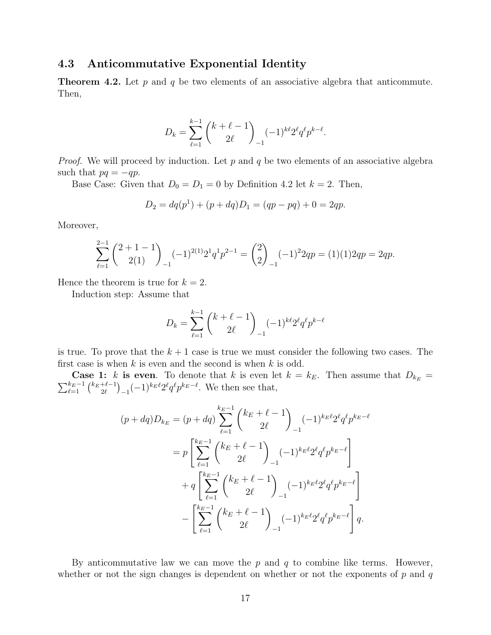#### 4.3 Anticommutative Exponential Identity

**Theorem 4.2.** Let  $p$  and  $q$  be two elements of an associative algebra that anticommute. Then,

$$
D_k = \sum_{\ell=1}^{k-1} {k+\ell-1 \choose 2\ell}_{-1} (-1)^{k\ell} 2^{\ell} q^{\ell} p^{k-\ell}.
$$

*Proof.* We will proceed by induction. Let  $p$  and  $q$  be two elements of an associative algebra such that  $pq = -qp$ .

Base Case: Given that  $D_0 = D_1 = 0$  by Definition 4.2 let  $k = 2$ . Then,

$$
D_2 = dq(p1) + (p + dq)D_1 = (qp - pq) + 0 = 2qp.
$$

Moreover,

$$
\sum_{\ell=1}^{2-1} {2+1-1 \choose 2(1)} (-1)^{2(1)} 2^1 q^1 p^{2-1} = {2 \choose 2}_{-1} (-1)^2 2qp = (1)(1) 2qp = 2qp.
$$

Hence the theorem is true for  $k = 2$ .

Induction step: Assume that

$$
D_k = \sum_{\ell=1}^{k-1} {k+\ell-1 \choose 2\ell}_{-1} (-1)^{k\ell} 2^{\ell} q^{\ell} p^{k-\ell}
$$

is true. To prove that the  $k + 1$  case is true we must consider the following two cases. The first case is when  $k$  is even and the second is when  $k$  is odd.

**Case 1:** k is even. To denote that k is even let  $k = k_E$ . Then assume that  $D_{k_E}$  =  $\sum_{\ell=1}^{k_E-1} \binom{k_E+\ell-1}{2\ell}$  $\int_{2\ell}^{+\ell-1} (-1)^{k_E\ell} 2^{\ell} q^{\ell} p^{k_E-\ell}$ . We then see that,

$$
(p + dq)D_{k_E} = (p + dq) \sum_{\ell=1}^{k_E - 1} {k_E + \ell - 1 \choose 2\ell}_{-1} (-1)^{k_E \ell} 2^{\ell} q^{\ell} p^{k_E - \ell}
$$
  

$$
= p \left[ \sum_{\ell=1}^{k_E - 1} {k_E + \ell - 1 \choose 2\ell}_{-1} (-1)^{k_E \ell} 2^{\ell} q^{\ell} p^{k_E - \ell} \right]
$$
  

$$
+ q \left[ \sum_{\ell=1}^{k_E - 1} {k_E + \ell - 1 \choose 2\ell}_{-1} (-1)^{k_E \ell} 2^{\ell} q^{\ell} p^{k_E - \ell} \right]
$$
  

$$
- \left[ \sum_{\ell=1}^{k_E - 1} {k_E + \ell - 1 \choose 2\ell}_{-1} (-1)^{k_E \ell} 2^{\ell} q^{\ell} p^{k_E - \ell} \right] q.
$$

By anticommutative law we can move the  $p$  and  $q$  to combine like terms. However, whether or not the sign changes is dependent on whether or not the exponents of  $p$  and  $q$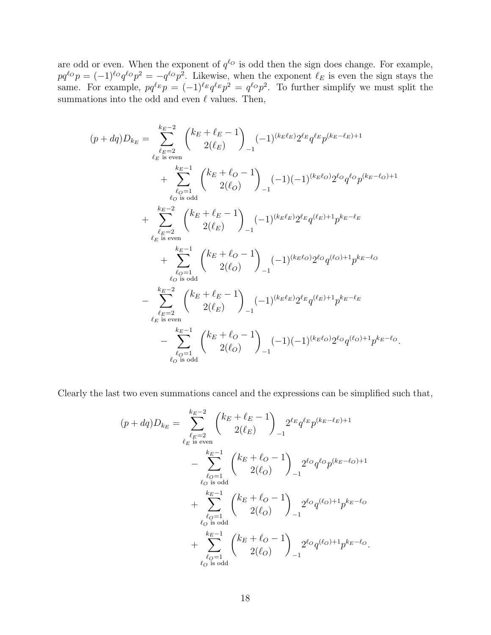are odd or even. When the exponent of  $q^{\ell_O}$  is odd then the sign does change. For example,  $pq^{\ell o}p = (-1)^{\ell o}q^{\ell o}p^2 = -q^{\ell o}p^2$ . Likewise, when the exponent  $\ell_E$  is even the sign stays the same. For example,  $pq^{\ell_E}p = (-1)^{\ell_E}q^{\ell_E}p^2 = q^{\ell_Q}p^2$ . To further simplify we must split the summations into the odd and even  $\ell$  values. Then,

$$
(p + dq)D_{k_E} = \sum_{\substack{\ell_E = 2 \\ \ell_E \text{ is even}}}^{\ell_E = 2} {k_E + \ell_E - 1 \choose 2(\ell_E)} (-1)^{(k_E \ell_E)} 2^{\ell_E} q^{\ell_E} p^{(k_E - \ell_E) + 1} + \sum_{\substack{\ell_O = 1 \\ \ell_O \text{ is odd}}}^{\ell_E = 2} {k_E + \ell_O - 1 \choose 2(\ell_O)} (-1)(-1)^{(k_E \ell_O)} 2^{\ell_O} q^{\ell_O} p^{(k_E - \ell_O) + 1} + \sum_{\substack{\ell_E = 2 \\ \ell_E \text{ is even}}}^{\ell_E = 2} {k_E + \ell_E - 1 \choose 2(\ell_E)} (-1)^{(k_E \ell_E)} 2^{\ell_E} q^{(\ell_E) + 1} p^{k_E - \ell_E} + \sum_{\substack{\ell_O = 1 \\ \ell_O \text{ is odd}}}^{\ell_E = 1} {k_E + \ell_O - 1 \choose 2(\ell_O)} (-1)^{(k_E \ell_O)} 2^{\ell_O} q^{(\ell_O) + 1} p^{k_E - \ell_O} - \sum_{\substack{\ell_E = 2 \\ \ell_E \text{ is even}}}^{\ell_E = 2} {k_E + \ell_E - 1 \choose 2(\ell_E)} (-1)^{(k_E \ell_E)} 2^{\ell_E} q^{(\ell_E) + 1} p^{k_E - \ell_E} - \sum_{\substack{\ell_O = 1 \\ \ell_O \text{ is odd}}}^{\ell_E = 1} {k_E + \ell_O - 1 \choose 2(\ell_O)} (-1)(-1)^{(k_E \ell_O)} 2^{\ell_O} q^{(\ell_O) + 1} p^{k_E - \ell_O}.
$$

Clearly the last two even summations cancel and the expressions can be simplified such that,

$$
(p + dq)D_{k_E} = \sum_{\ell_E = 2}^{k_E - 2} \binom{k_E + \ell_E - 1}{2(\ell_E)} 2^{\ell_E} q^{\ell_E} p^{(k_E - \ell_E) + 1}
$$
  
- 
$$
\sum_{\ell_O = 1 \atop \ell_O \text{ is odd}}^{k_E - 1} \binom{k_E + \ell_O - 1}{2(\ell_O)} 2^{\ell_O} q^{\ell_O} p^{(k_E - \ell_O) + 1}
$$
  
+ 
$$
\sum_{\ell_O = 1 \atop \ell_O \text{ is odd}}^{k_E - 1} \binom{k_E + \ell_O - 1}{2(\ell_O)} 2^{\ell_O} q^{(\ell_O) + 1} p^{k_E - \ell_O}
$$
  
+ 
$$
\sum_{\ell_O = 1 \atop \ell_O \text{ is odd}}^{k_E - 1} \binom{k_E + \ell_O - 1}{2(\ell_O)} 2^{\ell_O} q^{(\ell_O) + 1} p^{k_E - \ell_O}.
$$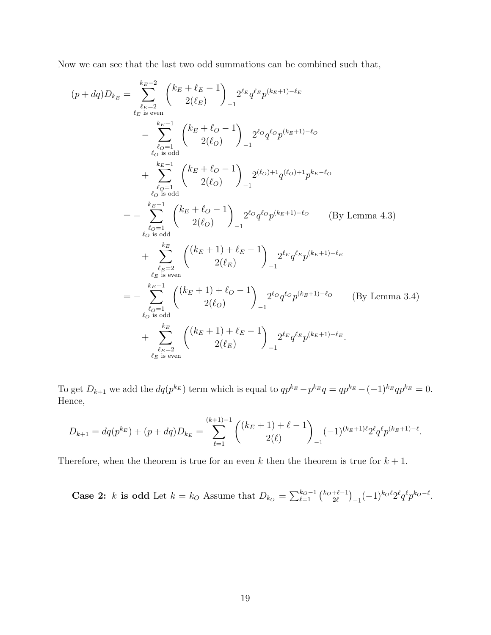Now we can see that the last two odd summations can be combined such that,

$$
(p + dq)D_{k_E} = \sum_{\substack{\ell_E = 2 \\ \ell_E \text{ is even}}}^{\ell_E = 2} \binom{k_E + \ell_E - 1}{2(\ell_E)}_{-1} 2^{\ell_E} q^{\ell_E} p^{(k_E + 1) - \ell_E}
$$
  
\n
$$
- \sum_{\substack{\ell_O = 1 \\ \ell_O \text{ is odd}}}^{\ell_E = 1} \binom{k_E + \ell_O - 1}{2(\ell_O)}_{-1} 2^{\ell_O} q^{\ell_O} p^{(k_E + 1) - \ell_O}
$$
  
\n
$$
+ \sum_{\substack{\ell_O = 1 \\ \ell_O \text{ is odd}}}^{\ell_E = 1} \binom{k_E + \ell_O - 1}{2(\ell_O)}_{-1} 2^{(\ell_O) + 1} q^{(\ell_O) + 1} p^{k_E - \ell_O}
$$
  
\n
$$
= - \sum_{\substack{\ell_O = 1 \\ \ell_O \text{ is odd}}}^{\ell_E = 1} \binom{k_E + \ell_O - 1}{2(\ell_O)}_{-1} 2^{\ell_O} q^{\ell_O} p^{(k_E + 1) - \ell_O} \qquad \text{(By Lemma 4.3)}
$$
  
\n
$$
+ \sum_{\substack{\ell_E = 2 \\ \ell_E \text{ is even}}}^{\ell_E} \binom{(k_E + 1) + \ell_E - 1}{2(\ell_E)}_{-1} 2^{\ell_E} q^{\ell_E} p^{(k_E + 1) - \ell_E}
$$
  
\n
$$
= - \sum_{\substack{\ell_O = 1 \\ \ell_O \text{ is odd}}}^{\ell_E = 2} \binom{(k_E + 1) + \ell_O - 1}{2(\ell_O)}_{-1} 2^{\ell_O} q^{\ell_O} p^{(k_E + 1) - \ell_O} \qquad \text{(By Lemma 3.4)}
$$
  
\n
$$
+ \sum_{\substack{\ell_E = 2 \\ \ell_E \text{ is even}}}^{\ell_E = 2} \binom{(k_E + 1) + \ell_E - 1}{2(\ell_E)}_{-1} 2^{\ell_E} q^{\ell_E} p^{(k_E + 1) - \ell_E}.
$$

To get  $D_{k+1}$  we add the  $dq(p^{k_E})$  term which is equal to  $qp^{k_E} - p^{k_E}q = qp^{k_E} - (-1)^{k_E}qp^{k_E} = 0$ . Hence,

$$
D_{k+1} = dq(p^{k_E}) + (p + dq)D_{k_E} = \sum_{\ell=1}^{(k+1)-1} \binom{(k_E + 1) + \ell - 1}{2(\ell)} (-1)^{(k_E + 1)\ell} 2^{\ell} q^{\ell} p^{(k_E + 1) - \ell}.
$$

Therefore, when the theorem is true for an even k then the theorem is true for  $k + 1$ .

**Case 2:** k is odd Let  $k = k_O$  Assume that  $D_{k_O} = \sum_{\ell=1}^{k_O-1} {k_O + \ell-1 \choose 2\ell}$  $_{2\ell}^{+\ell-1}$ )<sub>-1</sub> $(-1)^{k_0\ell}2^{\ell}q^{\ell}p^{k_0-\ell}.$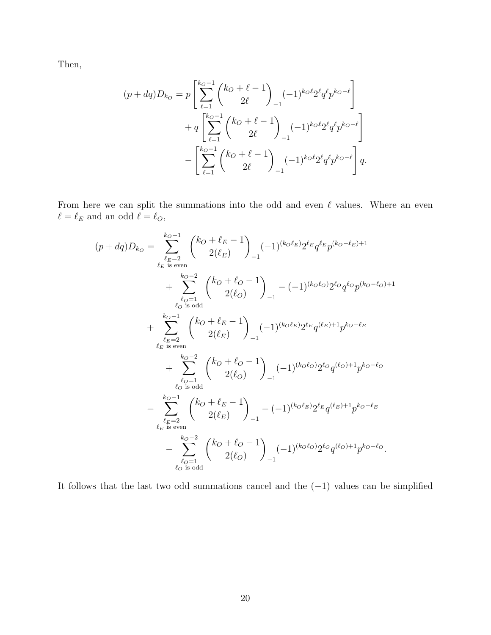Then,

$$
(p + dq)D_{k_O} = p \left[ \sum_{\ell=1}^{k_O - 1} {k_O + \ell - 1 \choose 2\ell} (-1)^{k_O\ell} 2^{\ell} q^{\ell} p^{k_O - \ell} \right] + q \left[ \sum_{\ell=1}^{k_O - 1} {k_O + \ell - 1 \choose 2\ell} (-1)^{k_O\ell} 2^{\ell} q^{\ell} p^{k_O - \ell} \right] - \left[ \sum_{\ell=1}^{k_O - 1} {k_O + \ell - 1 \choose 2\ell} (-1)^{k_O\ell} 2^{\ell} q^{\ell} p^{k_O - \ell} \right] q.
$$

From here we can split the summations into the odd and even  $\ell$  values. Where an even  $\ell = \ell_E$  and an odd  $\ell = \ell_O$ ,

$$
(p + dq)D_{k_O} = \sum_{\substack{\ell_E = 2 \ \ell_E \text{ is even}}}^{k_O - 1} \binom{k_O + \ell_E - 1}{2(\ell_E)} (-1)^{(k_O \ell_E)} 2^{\ell_E} q^{\ell_E} p^{(k_O - \ell_E) + 1} + \sum_{\substack{\ell_O = 1 \ \ell_O \text{ is odd}}}^{k_O - 2} \binom{k_O + \ell_O - 1}{2(\ell_O)}_{-1} - (-1)^{(k_O \ell_O)} 2^{\ell_O} q^{\ell_O} p^{(k_O - \ell_O) + 1} + \sum_{\substack{\ell_E = 2 \ \ell_E \text{ is even}}}^{k_O - 1} \binom{k_O + \ell_E - 1}{2(\ell_E)} (-1)^{(k_O \ell_E)} 2^{\ell_E} q^{(\ell_E) + 1} p^{k_O - \ell_E} + \sum_{\substack{\ell_O = 1 \ \ell_O \text{ is odd}}}^{k_O - 2} \binom{k_O + \ell_O - 1}{2(\ell_O)}_{-1} (-1)^{(k_O \ell_O)} 2^{\ell_O} q^{(\ell_O) + 1} p^{k_O - \ell_O} - \sum_{\substack{\ell_E = 2 \ \ell_E \text{ is even}}}^{k_O - 1} \binom{k_O + \ell_E - 1}{2(\ell_E)}_{-1} - (-1)^{(k_O \ell_E)} 2^{\ell_E} q^{(\ell_E) + 1} p^{k_O - \ell_E} - \sum_{\substack{\ell_O = 1 \ \ell_O \text{ is odd}}}^{k_O - 2} \binom{k_O + \ell_O - 1}{2(\ell_O)}_{-1} (-1)^{(k_O \ell_O)} 2^{\ell_O} q^{(\ell_O) + 1} p^{k_O - \ell_O}.
$$

It follows that the last two odd summations cancel and the  $(-1)$  values can be simplified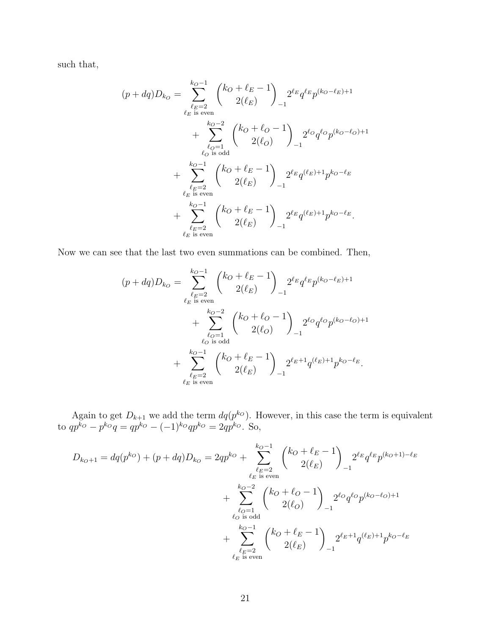such that,

$$
(p + dq)D_{k_O} = \sum_{\ell_E = 2 \atop \ell_E \text{ is even}}^{k_O - 1} {k_O + \ell_E - 1 \choose 2(\ell_E)} 2^{\ell_E} q^{\ell_E} p^{(k_O - \ell_E) + 1} + \sum_{\ell_O = 1 \atop \ell_O \text{ is odd}}^{k_O - 2} {k_O + \ell_O - 1 \choose 2(\ell_O)} 2^{\ell_O} q^{\ell_O} p^{(k_O - \ell_O) + 1} + \sum_{\ell_E = 2 \atop \ell_E \text{ is even}}^{k_O - 1} {k_O + \ell_E - 1 \choose 2(\ell_E)} 2^{\ell_E} q^{(\ell_E) + 1} p^{k_O - \ell_E} + \sum_{\ell_E = 2 \atop \ell_E \text{ is even}}^{k_O - 1} {k_O + \ell_E - 1 \choose 2(\ell_E)} 2^{\ell_E} q^{(\ell_E) + 1} p^{k_O - \ell_E}.
$$

Now we can see that the last two even summations can be combined. Then,

$$
(p + dq)D_{k_O} = \sum_{\substack{\ell_E = 2 \\ \ell_E \text{ is even}}}^{k_O - 1} {k_O + \ell_E - 1 \choose 2(\ell_E)}_{-1} 2^{\ell_E} q^{\ell_E} p^{(k_O - \ell_E) + 1} + \sum_{\substack{\ell_O = 1 \\ \ell_O \text{ is odd}}}^{k_O - 2} {k_O + \ell_O - 1 \choose 2(\ell_O)}_{-1} 2^{\ell_O} q^{\ell_O} p^{(k_O - \ell_O) + 1} + \sum_{\substack{\ell_E = 2 \\ \ell_E \text{ is even}}}^{k_O - 1} {k_O + \ell_E - 1 \choose 2(\ell_E)}_{-1} 2^{\ell_E + 1} q^{(\ell_E) + 1} p^{k_O - \ell_E}.
$$

Again to get  $D_{k+1}$  we add the term  $dq(p^{k_0})$ . However, in this case the term is equivalent to  $qp^{ko} - p^{ko}q = qp^{ko} - (-1)^{ko}qp^{ko} = 2qp^{ko}$ . So,

$$
D_{k_O+1} = dq(p^{k_O}) + (p + dq)D_{k_O} = 2qp^{k_O} + \sum_{\substack{\ell_E=2\\ \ell_E \text{ is even}}}^{k_O-1} {k_O + \ell_E - 1 \choose 2(\ell_E)}_{-1} 2^{\ell_E} q^{\ell_E} p^{(k_O+1) - \ell_E}
$$
  
+ 
$$
\sum_{\substack{\ell_O=1\\ \ell_O \text{ is odd}}}^{k_O-2} {k_O + \ell_O - 1 \choose 2(\ell_O)}_{-1} 2^{\ell_O} q^{\ell_O} p^{(k_O - \ell_O) + 1}
$$
  
+ 
$$
\sum_{\substack{\ell_E=2\\ \ell_E \text{ is even}}}^{k_O-1} {k_O + \ell_E - 1 \choose 2(\ell_E)}_{-1} 2^{\ell_E + 1} q^{(\ell_E) + 1} p^{k_O - \ell_E}
$$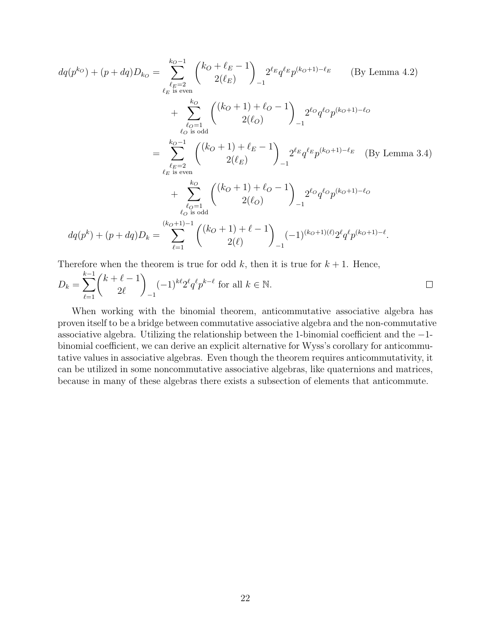$$
dq(p^{k_O}) + (p + dq)D_{k_O} = \sum_{\ell_E = 2}^{k_O - 1} \binom{k_O + \ell_E - 1}{2(\ell_E)} 2^{\ell_E} q^{\ell_E} p^{(k_O + 1) - \ell_E} \qquad \text{(By Lemma 4.2)}
$$
\n
$$
+ \sum_{\ell_O = 1}^{k_O} \binom{(k_O + 1) + \ell_O - 1}{2(\ell_O)} 2^{\ell_O} q^{\ell_O} p^{(k_O + 1) - \ell_O}
$$
\n
$$
= \sum_{\ell_E = 2}^{k_O - 1} \binom{(k_O + 1) + \ell_E - 1}{2(\ell_E)} 2^{\ell_E} q^{\ell_E} p^{(k_O + 1) - \ell_E} \qquad \text{(By Lemma 3.4)}
$$
\n
$$
+ \sum_{\ell_O = 1}^{k_O - 1} \binom{(k_O + 1) + \ell_O - 1}{2(\ell_O)} 2^{\ell_O} q^{\ell_O} p^{(k_O + 1) - \ell_O}
$$
\n
$$
dq(p^k) + (p + dq)D_k = \sum_{\ell = 1}^{k_O + 1} \binom{(k_O + 1) + \ell - 1}{2(\ell_O)} (-1)^{(k_O + 1)(\ell)} 2^{\ell_Q} q^{\ell_P(k_O + 1) - \ell}.
$$

Therefore when the theorem is true for odd  $k$ , then it is true for  $k + 1$ . Hence,

$$
D_k = \sum_{\ell=1}^{k-1} {k+\ell-1 \choose 2\ell}_{-1} (-1)^{k\ell} 2^{\ell} q^{\ell} p^{k-\ell} \text{ for all } k \in \mathbb{N}.
$$

When working with the binomial theorem, anticommutative associative algebra has proven itself to be a bridge between commutative associative algebra and the non-commutative associative algebra. Utilizing the relationship between the 1-binomial coefficient and the −1 binomial coefficient, we can derive an explicit alternative for Wyss's corollary for anticommutative values in associative algebras. Even though the theorem requires anticommutativity, it can be utilized in some noncommutative associative algebras, like quaternions and matrices, because in many of these algebras there exists a subsection of elements that anticommute.